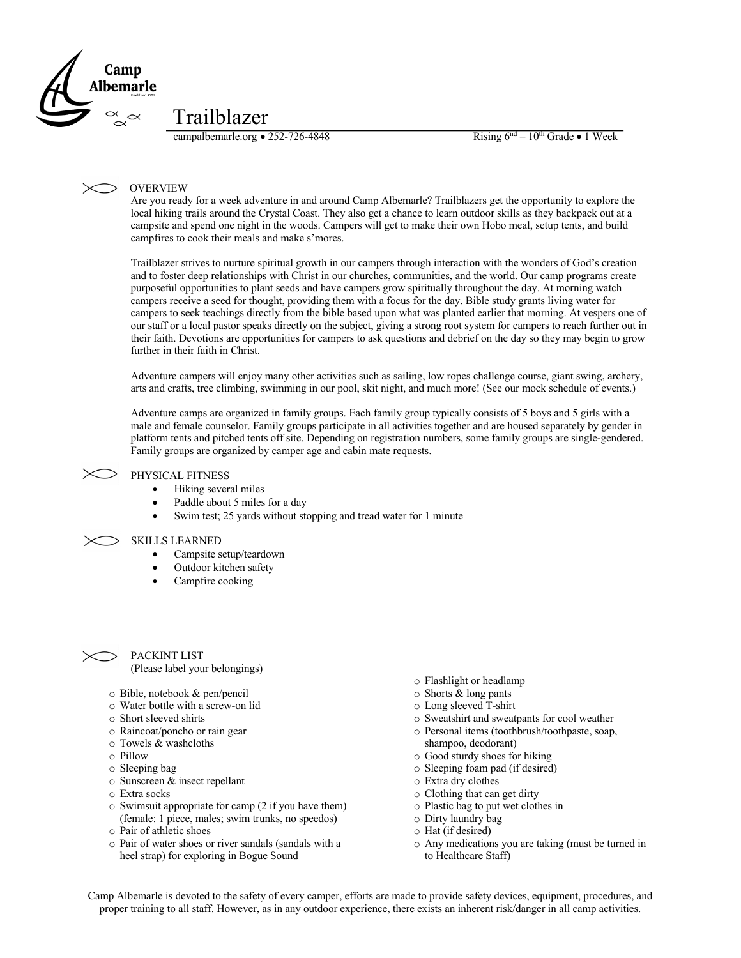

## Trailblazer

campalbemarle.org • 252-726-4848 Rising  $6^{nd} - 10^{th}$  Grade • 1 Week

## OVERVIEW

Are you ready for a week adventure in and around Camp Albemarle? Trailblazers get the opportunity to explore the local hiking trails around the Crystal Coast. They also get a chance to learn outdoor skills as they backpack out at a campsite and spend one night in the woods. Campers will get to make their own Hobo meal, setup tents, and build campfires to cook their meals and make s'mores.

Trailblazer strives to nurture spiritual growth in our campers through interaction with the wonders of God's creation and to foster deep relationships with Christ in our churches, communities, and the world. Our camp programs create purposeful opportunities to plant seeds and have campers grow spiritually throughout the day. At morning watch campers receive a seed for thought, providing them with a focus for the day. Bible study grants living water for campers to seek teachings directly from the bible based upon what was planted earlier that morning. At vespers one of our staff or a local pastor speaks directly on the subject, giving a strong root system for campers to reach further out in their faith. Devotions are opportunities for campers to ask questions and debrief on the day so they may begin to grow further in their faith in Christ.

Adventure campers will enjoy many other activities such as sailing, low ropes challenge course, giant swing, archery, arts and crafts, tree climbing, swimming in our pool, skit night, and much more! (See our mock schedule of events.)

Adventure camps are organized in family groups. Each family group typically consists of 5 boys and 5 girls with a male and female counselor. Family groups participate in all activities together and are housed separately by gender in platform tents and pitched tents off site. Depending on registration numbers, some family groups are single-gendered. Family groups are organized by camper age and cabin mate requests.

## PHYSICAL FITNESS

- Hiking several miles
- Paddle about 5 miles for a day
- Swim test; 25 yards without stopping and tread water for 1 minute

## SKILLS LEARNED

- Campsite setup/teardown
- Outdoor kitchen safety
- Campfire cooking



PACKINT LIST (Please label your belongings)

- o Bible, notebook & pen/pencil
- o Water bottle with a screw-on lid
- o Short sleeved shirts
- o Raincoat/poncho or rain gear
- o Towels & washcloths
- o Pillow
- o Sleeping bag
- o Sunscreen & insect repellant
- o Extra socks
- o Swimsuit appropriate for camp (2 if you have them) (female: 1 piece, males; swim trunks, no speedos)
- o Pair of athletic shoes
- o Pair of water shoes or river sandals (sandals with a heel strap) for exploring in Bogue Sound
- o Flashlight or headlamp
- o Shorts & long pants
- o Long sleeved T-shirt
- o Sweatshirt and sweatpants for cool weather
- o Personal items (toothbrush/toothpaste, soap, shampoo, deodorant)
- o Good sturdy shoes for hiking
- o Sleeping foam pad (if desired)
- o Extra dry clothes
- o Clothing that can get dirty
- o Plastic bag to put wet clothes in
- o Dirty laundry bag
- o Hat (if desired)
- o Any medications you are taking (must be turned in to Healthcare Staff)

Camp Albemarle is devoted to the safety of every camper, efforts are made to provide safety devices, equipment, procedures, and proper training to all staff. However, as in any outdoor experience, there exists an inherent risk/danger in all camp activities.